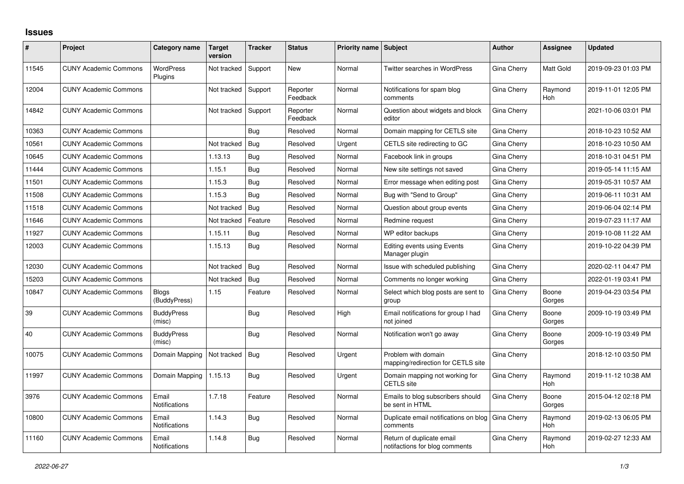## **Issues**

| ∦     | Project                      | Category name                 | <b>Target</b><br>version | <b>Tracker</b> | <b>Status</b>        | <b>Priority name Subject</b> |                                                             | <b>Author</b>      | Assignee        | <b>Updated</b>      |
|-------|------------------------------|-------------------------------|--------------------------|----------------|----------------------|------------------------------|-------------------------------------------------------------|--------------------|-----------------|---------------------|
| 11545 | <b>CUNY Academic Commons</b> | <b>WordPress</b><br>Plugins   | Not tracked              | Support        | <b>New</b>           | Normal                       | <b>Twitter searches in WordPress</b>                        | Gina Cherry        | Matt Gold       | 2019-09-23 01:03 PM |
| 12004 | <b>CUNY Academic Commons</b> |                               | Not tracked              | Support        | Reporter<br>Feedback | Normal                       | Notifications for spam blog<br>comments                     | Gina Cherry        | Raymond<br>Hoh  | 2019-11-01 12:05 PM |
| 14842 | <b>CUNY Academic Commons</b> |                               | Not tracked              | Support        | Reporter<br>Feedback | Normal                       | Question about widgets and block<br>editor                  | Gina Cherry        |                 | 2021-10-06 03:01 PM |
| 10363 | <b>CUNY Academic Commons</b> |                               |                          | Bug            | Resolved             | Normal                       | Domain mapping for CETLS site                               | Gina Cherry        |                 | 2018-10-23 10:52 AM |
| 10561 | <b>CUNY Academic Commons</b> |                               | Not tracked              | Bug            | Resolved             | Urgent                       | CETLS site redirecting to GC                                | Gina Cherry        |                 | 2018-10-23 10:50 AM |
| 10645 | <b>CUNY Academic Commons</b> |                               | 1.13.13                  | Bug            | Resolved             | Normal                       | Facebook link in groups                                     | Gina Cherry        |                 | 2018-10-31 04:51 PM |
| 11444 | <b>CUNY Academic Commons</b> |                               | 1.15.1                   | Bug            | Resolved             | Normal                       | New site settings not saved                                 | Gina Cherry        |                 | 2019-05-14 11:15 AM |
| 11501 | <b>CUNY Academic Commons</b> |                               | 1.15.3                   | Bug            | Resolved             | Normal                       | Error message when editing post                             | Gina Cherry        |                 | 2019-05-31 10:57 AM |
| 11508 | <b>CUNY Academic Commons</b> |                               | 1.15.3                   | <b>Bug</b>     | Resolved             | Normal                       | Bug with "Send to Group"                                    | Gina Cherry        |                 | 2019-06-11 10:31 AM |
| 11518 | <b>CUNY Academic Commons</b> |                               | Not tracked              | Bug            | Resolved             | Normal                       | Question about group events                                 | Gina Cherry        |                 | 2019-06-04 02:14 PM |
| 11646 | <b>CUNY Academic Commons</b> |                               | Not tracked              | Feature        | Resolved             | Normal                       | Redmine request                                             | Gina Cherry        |                 | 2019-07-23 11:17 AM |
| 11927 | <b>CUNY Academic Commons</b> |                               | 1.15.11                  | Bug            | Resolved             | Normal                       | WP editor backups                                           | Gina Cherry        |                 | 2019-10-08 11:22 AM |
| 12003 | <b>CUNY Academic Commons</b> |                               | 1.15.13                  | Bug            | Resolved             | Normal                       | <b>Editing events using Events</b><br>Manager plugin        | Gina Cherry        |                 | 2019-10-22 04:39 PM |
| 12030 | <b>CUNY Academic Commons</b> |                               | Not tracked              | Bug            | Resolved             | Normal                       | Issue with scheduled publishing                             | Gina Cherry        |                 | 2020-02-11 04:47 PM |
| 15203 | <b>CUNY Academic Commons</b> |                               | Not tracked              | Bug            | Resolved             | Normal                       | Comments no longer working                                  | Gina Cherry        |                 | 2022-01-19 03:41 PM |
| 10847 | <b>CUNY Academic Commons</b> | <b>Blogs</b><br>(BuddyPress)  | 1.15                     | Feature        | Resolved             | Normal                       | Select which blog posts are sent to<br>group                | Gina Cherry        | Boone<br>Gorges | 2019-04-23 03:54 PM |
| 39    | <b>CUNY Academic Commons</b> | <b>BuddyPress</b><br>(misc)   |                          | Bug            | Resolved             | High                         | Email notifications for group I had<br>not joined           | Gina Cherry        | Boone<br>Gorges | 2009-10-19 03:49 PM |
| 40    | <b>CUNY Academic Commons</b> | <b>BuddyPress</b><br>(misc)   |                          | Bug            | Resolved             | Normal                       | Notification won't go away                                  | Gina Cherry        | Boone<br>Gorges | 2009-10-19 03:49 PM |
| 10075 | <b>CUNY Academic Commons</b> | Domain Mapping                | Not tracked              | Bug            | Resolved             | Urgent                       | Problem with domain<br>mapping/redirection for CETLS site   | Gina Cherry        |                 | 2018-12-10 03:50 PM |
| 11997 | <b>CUNY Academic Commons</b> | Domain Mapping                | 1.15.13                  | Bug            | Resolved             | Urgent                       | Domain mapping not working for<br><b>CETLS</b> site         | Gina Cherry        | Raymond<br>Hoh  | 2019-11-12 10:38 AM |
| 3976  | <b>CUNY Academic Commons</b> | Email<br><b>Notifications</b> | 1.7.18                   | Feature        | Resolved             | Normal                       | Emails to blog subscribers should<br>be sent in HTML        | Gina Cherry        | Boone<br>Gorges | 2015-04-12 02:18 PM |
| 10800 | <b>CUNY Academic Commons</b> | Email<br>Notifications        | 1.14.3                   | Bug            | Resolved             | Normal                       | Duplicate email notifications on blog<br>comments           | <b>Gina Cherry</b> | Raymond<br>Hoh  | 2019-02-13 06:05 PM |
| 11160 | <b>CUNY Academic Commons</b> | Email<br><b>Notifications</b> | 1.14.8                   | Bug            | Resolved             | Normal                       | Return of duplicate email<br>notifactions for blog comments | Gina Cherry        | Raymond<br>Hoh  | 2019-02-27 12:33 AM |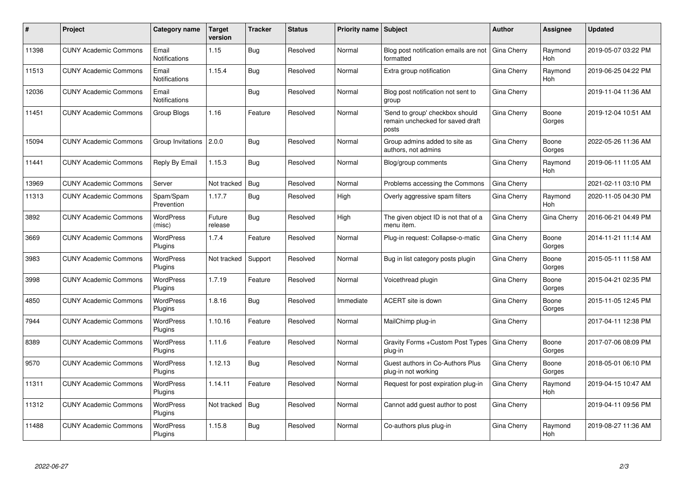| #     | <b>Project</b>               | Category name                 | <b>Target</b><br>version | <b>Tracker</b> | <b>Status</b> | Priority name Subject |                                                                             | Author      | Assignee              | <b>Updated</b>      |
|-------|------------------------------|-------------------------------|--------------------------|----------------|---------------|-----------------------|-----------------------------------------------------------------------------|-------------|-----------------------|---------------------|
| 11398 | <b>CUNY Academic Commons</b> | Email<br><b>Notifications</b> | 1.15                     | Bug            | Resolved      | Normal                | Blog post notification emails are not<br>formatted                          | Gina Cherry | Raymond<br>Hoh        | 2019-05-07 03:22 PM |
| 11513 | <b>CUNY Academic Commons</b> | Email<br><b>Notifications</b> | 1.15.4                   | Bug            | Resolved      | Normal                | Extra group notification                                                    | Gina Cherry | Raymond<br>Hoh        | 2019-06-25 04:22 PM |
| 12036 | <b>CUNY Academic Commons</b> | Email<br><b>Notifications</b> |                          | Bug            | Resolved      | Normal                | Blog post notification not sent to<br>group                                 | Gina Cherry |                       | 2019-11-04 11:36 AM |
| 11451 | <b>CUNY Academic Commons</b> | Group Blogs                   | 1.16                     | Feature        | Resolved      | Normal                | Send to group' checkbox should<br>remain unchecked for saved draft<br>posts | Gina Cherry | Boone<br>Gorges       | 2019-12-04 10:51 AM |
| 15094 | <b>CUNY Academic Commons</b> | Group Invitations             | 2.0.0                    | <b>Bug</b>     | Resolved      | Normal                | Group admins added to site as<br>authors, not admins                        | Gina Cherry | Boone<br>Gorges       | 2022-05-26 11:36 AM |
| 11441 | <b>CUNY Academic Commons</b> | Reply By Email                | 1.15.3                   | Bug            | Resolved      | Normal                | Blog/group comments                                                         | Gina Cherry | Raymond<br>Hoh        | 2019-06-11 11:05 AM |
| 13969 | <b>CUNY Academic Commons</b> | Server                        | Not tracked              | Bug            | Resolved      | Normal                | Problems accessing the Commons                                              | Gina Cherry |                       | 2021-02-11 03:10 PM |
| 11313 | <b>CUNY Academic Commons</b> | Spam/Spam<br>Prevention       | 1.17.7                   | <b>Bug</b>     | Resolved      | High                  | Overly aggressive spam filters                                              | Gina Cherry | Raymond<br><b>Hoh</b> | 2020-11-05 04:30 PM |
| 3892  | <b>CUNY Academic Commons</b> | <b>WordPress</b><br>(misc)    | Future<br>release        | <b>Bug</b>     | Resolved      | High                  | The given object ID is not that of a<br>menu item.                          | Gina Cherry | Gina Cherry           | 2016-06-21 04:49 PM |
| 3669  | <b>CUNY Academic Commons</b> | <b>WordPress</b><br>Plugins   | 1.7.4                    | Feature        | Resolved      | Normal                | Plug-in request: Collapse-o-matic                                           | Gina Cherry | Boone<br>Gorges       | 2014-11-21 11:14 AM |
| 3983  | <b>CUNY Academic Commons</b> | <b>WordPress</b><br>Plugins   | Not tracked              | Support        | Resolved      | Normal                | Bug in list category posts plugin                                           | Gina Cherry | Boone<br>Gorges       | 2015-05-11 11:58 AM |
| 3998  | <b>CUNY Academic Commons</b> | <b>WordPress</b><br>Plugins   | 1.7.19                   | Feature        | Resolved      | Normal                | Voicethread plugin                                                          | Gina Cherry | Boone<br>Gorges       | 2015-04-21 02:35 PM |
| 4850  | <b>CUNY Academic Commons</b> | <b>WordPress</b><br>Plugins   | 1.8.16                   | Bug            | Resolved      | Immediate             | ACERT site is down                                                          | Gina Cherry | Boone<br>Gorges       | 2015-11-05 12:45 PM |
| 7944  | <b>CUNY Academic Commons</b> | <b>WordPress</b><br>Plugins   | 1.10.16                  | Feature        | Resolved      | Normal                | MailChimp plug-in                                                           | Gina Cherry |                       | 2017-04-11 12:38 PM |
| 8389  | <b>CUNY Academic Commons</b> | <b>WordPress</b><br>Plugins   | 1.11.6                   | Feature        | Resolved      | Normal                | Gravity Forms + Custom Post Types<br>plug-in                                | Gina Cherry | Boone<br>Gorges       | 2017-07-06 08:09 PM |
| 9570  | <b>CUNY Academic Commons</b> | WordPress<br>Plugins          | 1.12.13                  | Bug            | Resolved      | Normal                | Guest authors in Co-Authors Plus<br>plug-in not working                     | Gina Cherry | Boone<br>Gorges       | 2018-05-01 06:10 PM |
| 11311 | <b>CUNY Academic Commons</b> | <b>WordPress</b><br>Plugins   | 1.14.11                  | Feature        | Resolved      | Normal                | Request for post expiration plug-in                                         | Gina Cherry | Raymond<br>Hoh        | 2019-04-15 10:47 AM |
| 11312 | <b>CUNY Academic Commons</b> | <b>WordPress</b><br>Plugins   | Not tracked              | Bug            | Resolved      | Normal                | Cannot add guest author to post                                             | Gina Cherry |                       | 2019-04-11 09:56 PM |
| 11488 | <b>CUNY Academic Commons</b> | WordPress<br>Plugins          | 1.15.8                   | <b>Bug</b>     | Resolved      | Normal                | Co-authors plus plug-in                                                     | Gina Cherry | Raymond<br>Hoh        | 2019-08-27 11:36 AM |